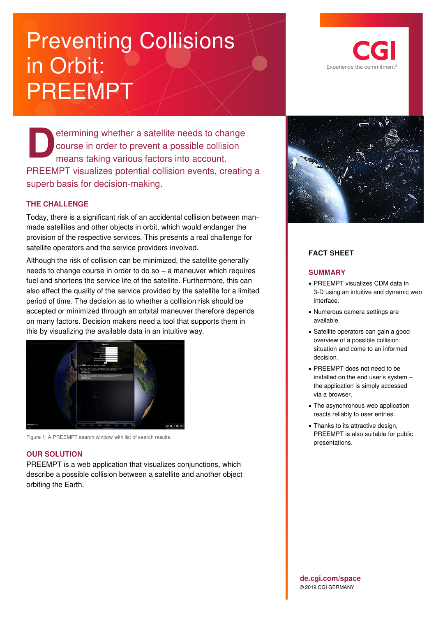# Preventing Collisions in Orbit: PREEMPT

etermining whether a satellite needs to change course in order to prevent a possible collision means taking various factors into account. PREEMPT visualizes potential collision events, creating a superb basis for decision-making. **D**

## **THE CHALLENGE**

Today, there is a significant risk of an accidental collision between manmade satellites and other objects in orbit, which would endanger the provision of the respective services. This presents a real challenge for satellite operators and the service providers involved.

Although the risk of collision can be minimized, the satellite generally needs to change course in order to do so – a maneuver which requires fuel and shortens the service life of the satellite. Furthermore, this can also affect the quality of the service provided by the satellite for a limited period of time. The decision as to whether a collision risk should be accepted or minimized through an orbital maneuver therefore depends on many factors. Decision makers need a tool that supports them in this by visualizing the available data in an intuitive way.



Figure 1: A PREEMPT search window with list of search results.

#### **OUR SOLUTION**

PREEMPT is a web application that visualizes conjunctions, which describe a possible collision between a satellite and another object orbiting the Earth.





## **FACT SHEET**

#### **SUMMARY**

- PREEMPT visualizes CDM data in 3-D using an intuitive and dynamic web interface.
- Numerous camera settings are available.
- Satellite operators can gain a good overview of a possible collision situation and come to an informed decision.
- PREEMPT does not need to be installed on the end user's system – the application is simply accessed via a browser.
- The asynchronous web application reacts reliably to user entries.
- Thanks to its attractive design, PREEMPT is also suitable for public presentations.